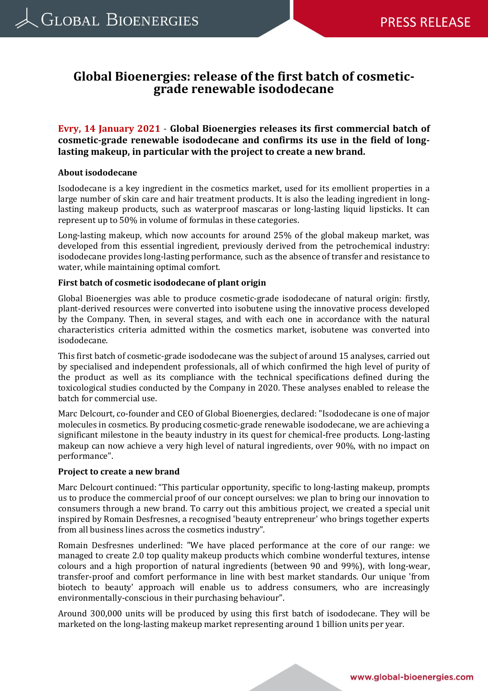# **Global Bioenergies: release of the first batch of cosmeticgrade renewable isododecane**

**Evry, 14 January 2021** - **Global Bioenergies releases its first commercial batch of cosmetic-grade renewable isododecane and confirms its use in the field of longlasting makeup, in particular with the project to create a new brand.**

### **About isododecane**

Isododecane is a key ingredient in the cosmetics market, used for its emollient properties in a large number of skin care and hair treatment products. It is also the leading ingredient in longlasting makeup products, such as waterproof mascaras or long-lasting liquid lipsticks. It can represent up to 50% in volume of formulas in these categories.

Long-lasting makeup, which now accounts for around 25% of the global makeup market, was developed from this essential ingredient, previously derived from the petrochemical industry: isododecane provides long-lasting performance, such as the absence of transfer and resistance to water, while maintaining optimal comfort.

### **First batch of cosmetic isododecane of plant origin**

Global Bioenergies was able to produce cosmetic-grade isododecane of natural origin: firstly, plant-derived resources were converted into isobutene using the innovative process developed by the Company. Then, in several stages, and with each one in accordance with the natural characteristics criteria admitted within the cosmetics market, isobutene was converted into isododecane.

This first batch of cosmetic-grade isododecane was the subject of around 15 analyses, carried out by specialised and independent professionals, all of which confirmed the high level of purity of the product as well as its compliance with the technical specifications defined during the toxicological studies conducted by the Company in 2020. These analyses enabled to release the batch for commercial use.

Marc Delcourt, co-founder and CEO of Global Bioenergies, declared: "Isododecane is one of major molecules in cosmetics. By producing cosmetic-grade renewable isododecane, we are achieving a significant milestone in the beauty industry in its quest for chemical-free products. Long-lasting makeup can now achieve a very high level of natural ingredients, over 90%, with no impact on performance".

#### **Project to create a new brand**

Marc Delcourt continued: "This particular opportunity, specific to long-lasting makeup, prompts us to produce the commercial proof of our concept ourselves: we plan to bring our innovation to consumers through a new brand. To carry out this ambitious project, we created a special unit inspired by Romain Desfresnes, a recognised 'beauty entrepreneur' who brings together experts from all business lines across the cosmetics industry".

Romain Desfresnes underlined: "We have placed performance at the core of our range: we managed to create 2.0 top quality makeup products which combine wonderful textures, intense colours and a high proportion of natural ingredients (between 90 and 99%), with long-wear, transfer-proof and comfort performance in line with best market standards. Our unique 'from biotech to beauty' approach will enable us to address consumers, who are increasingly environmentally-conscious in their purchasing behaviour".

Around 300,000 units will be produced by using this first batch of isododecane. They will be marketed on the long-lasting makeup market representing around 1 billion units per year.